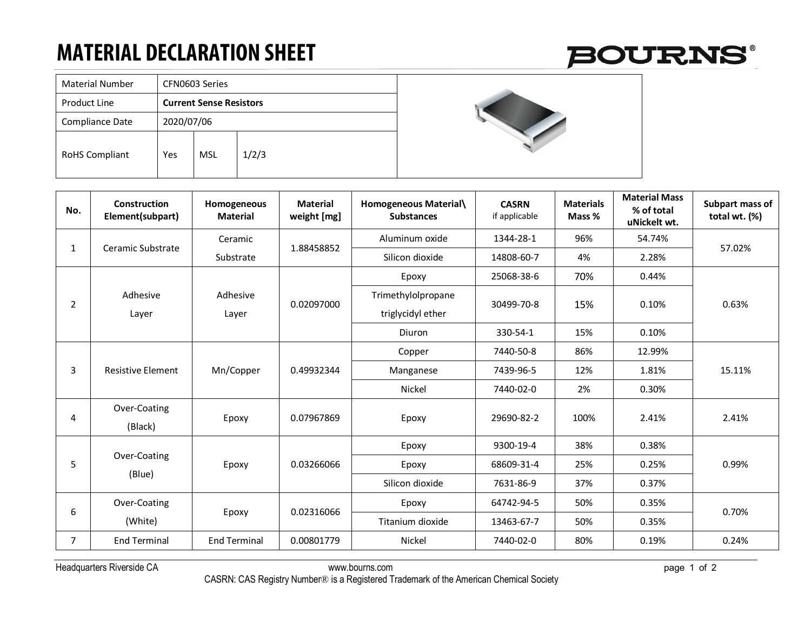## **MATERIAL DECLARATION SHEET**

| <b>Material Number</b> | CFN0603 Series                 |            |       |  |  |
|------------------------|--------------------------------|------------|-------|--|--|
| Product Line           | <b>Current Sense Resistors</b> |            |       |  |  |
| Compliance Date        | 2020/07/06                     |            |       |  |  |
| <b>RoHS Compliant</b>  | Yes                            | <b>MSL</b> | 1/2/3 |  |  |

## **BOURNS®**



| No.            | Construction<br>Element(subpart) | Homogeneous<br><b>Material</b>                | <b>Material</b><br>weight [mg] | Homogeneous Material\<br><b>Substances</b> | <b>CASRN</b><br>if applicable | <b>Materials</b><br>Mass % | <b>Material Mass</b><br>% of total<br>uNickelt wt. | Subpart mass of<br>total wt. (%) |
|----------------|----------------------------------|-----------------------------------------------|--------------------------------|--------------------------------------------|-------------------------------|----------------------------|----------------------------------------------------|----------------------------------|
| $\mathbf{1}$   | Ceramic Substrate                | Ceramic                                       | 1.88458852                     | Aluminum oxide                             | 1344-28-1                     | 96%                        | 54.74%                                             | 57.02%                           |
|                |                                  | Substrate                                     |                                | Silicon dioxide                            | 14808-60-7                    | 4%                         | 2.28%                                              |                                  |
| $\overline{2}$ |                                  | Adhesive<br>Layer                             | 0.02097000                     | Epoxy                                      | 25068-38-6                    | 70%                        | 0.44%                                              | 0.63%                            |
|                | Adhesive<br>Layer                |                                               |                                | Trimethylolpropane<br>triglycidyl ether    | 30499-70-8                    | 15%                        | 0.10%                                              |                                  |
|                |                                  |                                               |                                | Diuron                                     | 330-54-1                      | 15%                        | 0.10%                                              |                                  |
| 3              | <b>Resistive Element</b>         | Mn/Copper                                     | 0.49932344                     | Copper                                     | 7440-50-8                     | 86%                        | 12.99%                                             | 15.11%                           |
|                |                                  |                                               |                                | Manganese                                  | 7439-96-5                     | 12%                        | 1.81%                                              |                                  |
|                |                                  |                                               |                                | Nickel                                     | 7440-02-0                     | 2%                         | 0.30%                                              |                                  |
| 4              | Over-Coating<br>(Black)          | Epoxy                                         | 0.07967869                     | Epoxy                                      | 29690-82-2                    | 100%                       | 2.41%                                              | 2.41%                            |
| 5              |                                  | Over-Coating<br>0.03266066<br>Epoxy<br>(Blue) | Epoxy                          | 9300-19-4                                  | 38%                           | 0.38%                      |                                                    |                                  |
|                |                                  |                                               |                                | Epoxy                                      | 68609-31-4                    | 25%                        | 0.25%                                              | 0.99%                            |
|                |                                  |                                               |                                | Silicon dioxide                            | 7631-86-9                     | 37%                        | 0.37%                                              |                                  |
| 6              | Over-Coating                     |                                               | 0.02316066                     | Epoxy                                      | 64742-94-5                    | 50%                        | 0.35%                                              | 0.70%                            |
|                | (White)                          | Epoxy                                         |                                | Titanium dioxide                           | 13463-67-7                    | 50%                        | 0.35%                                              |                                  |
| $\overline{7}$ | <b>End Terminal</b>              | <b>End Terminal</b>                           | 0.00801779                     | Nickel                                     | 7440-02-0                     | 80%                        | 0.19%                                              | 0.24%                            |

Headquarters Riverside CA www.bourns.com page 1 of 2

CASRN: CAS Registry Number® is a Registered Trademark of the American Chemical Society